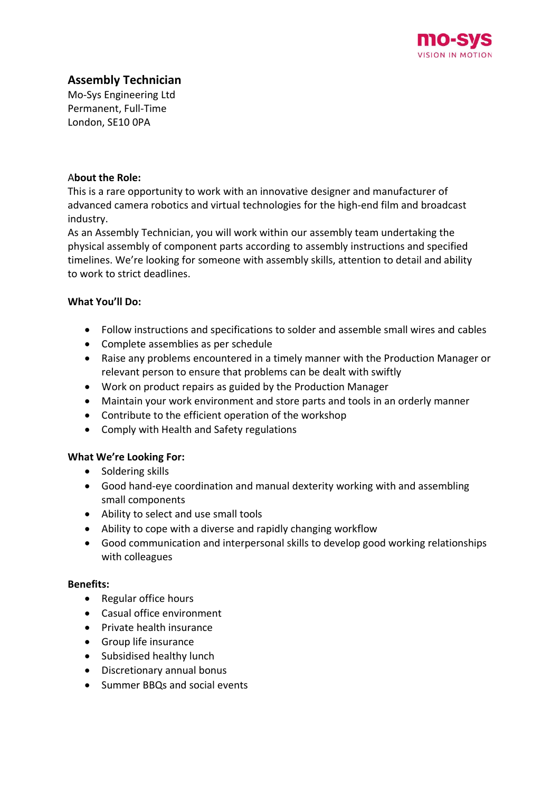

# **Assembly Technician**

Mo-Sys Engineering Ltd Permanent, Full-Time London, SE10 0PA

### A**bout the Role:**

This is a rare opportunity to work with an innovative designer and manufacturer of advanced camera robotics and virtual technologies for the high-end film and broadcast industry.

As an Assembly Technician, you will work within our assembly team undertaking the physical assembly of component parts according to assembly instructions and specified timelines. We're looking for someone with assembly skills, attention to detail and ability to work to strict deadlines.

## **What You'll Do:**

- Follow instructions and specifications to solder and assemble small wires and cables
- Complete assemblies as per schedule
- Raise any problems encountered in a timely manner with the Production Manager or relevant person to ensure that problems can be dealt with swiftly
- Work on product repairs as guided by the Production Manager
- Maintain your work environment and store parts and tools in an orderly manner
- Contribute to the efficient operation of the workshop
- Comply with Health and Safety regulations

# **What We're Looking For:**

- Soldering skills
- Good hand-eye coordination and manual dexterity working with and assembling small components
- Ability to select and use small tools
- Ability to cope with a diverse and rapidly changing workflow
- Good communication and interpersonal skills to develop good working relationships with colleagues

### **Benefits:**

- Regular office hours
- Casual office environment
- Private health insurance
- Group life insurance
- Subsidised healthy lunch
- Discretionary annual bonus
- Summer BBQs and social events